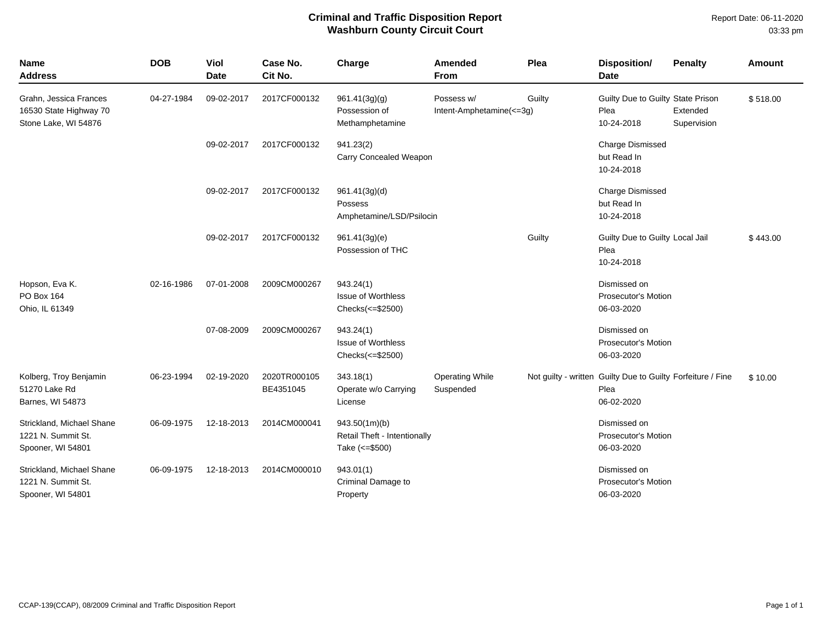## **Criminal and Traffic Disposition Report Washburn County Circuit Court**

Report Date: 06-11-2020 03:33 pm

| <b>Name</b><br><b>Address</b>                                            | <b>DOB</b> | <b>Viol</b><br><b>Date</b> | Case No.<br>Cit No.       | Charge                                                           | <b>Amended</b><br><b>From</b>          | Plea   | Disposition/<br><b>Date</b>                                                       | <b>Penalty</b>          | Amount   |
|--------------------------------------------------------------------------|------------|----------------------------|---------------------------|------------------------------------------------------------------|----------------------------------------|--------|-----------------------------------------------------------------------------------|-------------------------|----------|
| Grahn, Jessica Frances<br>16530 State Highway 70<br>Stone Lake, WI 54876 | 04-27-1984 | 09-02-2017                 | 2017CF000132              | 961.41(3g)(g)<br>Possession of<br>Methamphetamine                | Possess w/<br>Intent-Amphetamine(<=3g) | Guilty | Guilty Due to Guilty State Prison<br>Plea<br>10-24-2018                           | Extended<br>Supervision | \$518.00 |
|                                                                          |            | 09-02-2017                 | 2017CF000132              | 941.23(2)<br>Carry Concealed Weapon                              |                                        |        | <b>Charge Dismissed</b><br>but Read In<br>10-24-2018                              |                         |          |
|                                                                          |            | 09-02-2017                 | 2017CF000132              | 961.41(3g)(d)<br>Possess<br>Amphetamine/LSD/Psilocin             |                                        |        | Charge Dismissed<br>but Read In<br>10-24-2018                                     |                         |          |
|                                                                          |            | 09-02-2017                 | 2017CF000132              | 961.41(3g)(e)<br>Possession of THC                               |                                        | Guilty | Guilty Due to Guilty Local Jail<br>Plea<br>10-24-2018                             |                         | \$443.00 |
| Hopson, Eva K.<br>PO Box 164<br>Ohio, IL 61349                           | 02-16-1986 | 07-01-2008                 | 2009CM000267              | 943.24(1)<br><b>Issue of Worthless</b><br>Checks(<=\$2500)       |                                        |        | Dismissed on<br><b>Prosecutor's Motion</b><br>06-03-2020                          |                         |          |
|                                                                          |            | 07-08-2009                 | 2009CM000267              | 943.24(1)<br><b>Issue of Worthless</b><br>Checks(<=\$2500)       |                                        |        | Dismissed on<br><b>Prosecutor's Motion</b><br>06-03-2020                          |                         |          |
| Kolberg, Troy Benjamin<br>51270 Lake Rd<br>Barnes, WI 54873              | 06-23-1994 | 02-19-2020                 | 2020TR000105<br>BE4351045 | 343.18(1)<br>Operate w/o Carrying<br>License                     | <b>Operating While</b><br>Suspended    |        | Not guilty - written Guilty Due to Guilty Forfeiture / Fine<br>Plea<br>06-02-2020 |                         | \$10.00  |
| Strickland, Michael Shane<br>1221 N. Summit St.<br>Spooner, WI 54801     | 06-09-1975 | 12-18-2013                 | 2014CM000041              | 943.50(1m)(b)<br>Retail Theft - Intentionally<br>Take (<= \$500) |                                        |        | Dismissed on<br><b>Prosecutor's Motion</b><br>06-03-2020                          |                         |          |
| Strickland, Michael Shane<br>1221 N. Summit St.<br>Spooner, WI 54801     | 06-09-1975 | 12-18-2013                 | 2014CM000010              | 943.01(1)<br>Criminal Damage to<br>Property                      |                                        |        | Dismissed on<br>Prosecutor's Motion<br>06-03-2020                                 |                         |          |